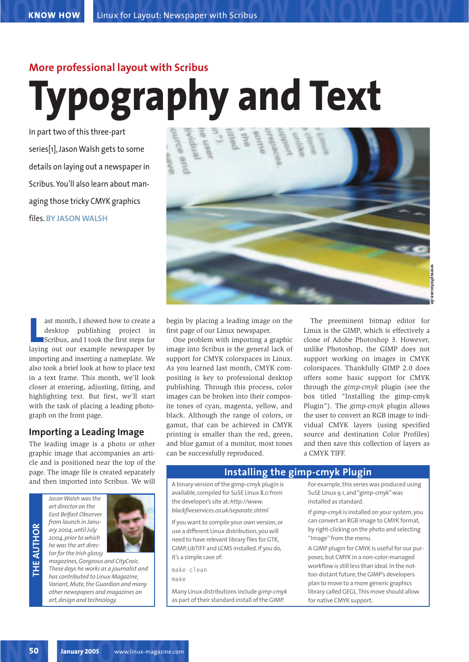# **More professional layout with Scribus Typography and Text**

In part two of this three-part series[1], Jason Walsh gets to some details on laying out a newspaper in Scribus. You'll also learn about managing those tricky CMYK graphics files. **BY JASON WALSH**



ast month, I showed how to create a<br>
desktop publishing project in<br>
Scribus, and I took the first steps for<br>
laying out our example newspaper by ast month, I showed how to create a desktop publishing project in Scribus, and I took the first steps for importing and inserting a nameplate. We also took a brief look at how to place text in a text frame. This month, we'll look closer at entering, adjusting, fitting, and highlighting text. But first, we'll start with the task of placing a leading photograph on the front page.

# **Importing a Leading Image**

The leading image is a photo or other graphic image that accompanies an article and is positioned near the top of the page. The image file is created separately and then imported into Scribus. We will

**THE AU THOR**



*magazines, Gorgeous and CityCraic. These days he works as a journalist and has contributed to Linux Magazine, Variant, Mute, the Guardian and many other newspapers and magazines on art, design and technology.*

begin by placing a leading image on the first page of our Linux newspaper.

One problem with importing a graphic image into Scribus is the general lack of support for CMYK colorspaces in Linux. As you learned last month, CMYK compositing is key to professional desktop publishing. Through this process, color images can be broken into their composite tones of cyan, magenta, yellow, and black. Although the range of colors, or gamut, that can be achieved in CMYK printing is smaller than the red, green, and blue gamut of a monitor, most tones can be successfully reproduced.

The preeminent bitmap editor for Linux is the GIMP, which is effectively a clone of Adobe Photoshop 3. However, unlike Photoshop, the GIMP does not support working on images in CMYK colorspaces. Thankfully GIMP 2.0 does offers some basic support for CMYK through the *gimp-cmyk* plugin (see the box titled "Installing the gimp-cmyk Plugin"). The *gimp-cmyk* plugin allows the user to convert an RGB image to individual CMYK layers (using specified source and destination Color Profiles) and then save this collection of layers as a CMYK TIFF.

# **Installing the gimp-cmyk Plugin**

A binary version of the gimp-cmyk plugin is available, compiled for SuSE Linux 8.0 from the developer's site at:*http://www. blackfiveservices.co.uk/separate.shtml*

If you want to compile your own version, or use a different Linux distribution, you will need to have relevant library files for GTK, GIMP, LibTIFF and LCMS installed. If you do, it's a simple case of:

make clean

make

Many Linux distributions include *gimp-cmyk* as part of their standard install of the GIMP.

For example, this series was produced using SuSE Linux 9.1, and "gimp-cmyk"was installed as standard.

If *gimp-cmyk* is installed on your system, you can convert an RGB image to CMYK format, by right-clicking on the photo and selecting "Image"from the menu.

A GIMP plugin for CMYK is useful for our purposes, but CMYK in a non-color-managed workflow is still less than ideal. In the nottoo-distant future, the GIMP's developers plan to move to a more generic graphics library called GEGL.This move should allow for native CMYK support.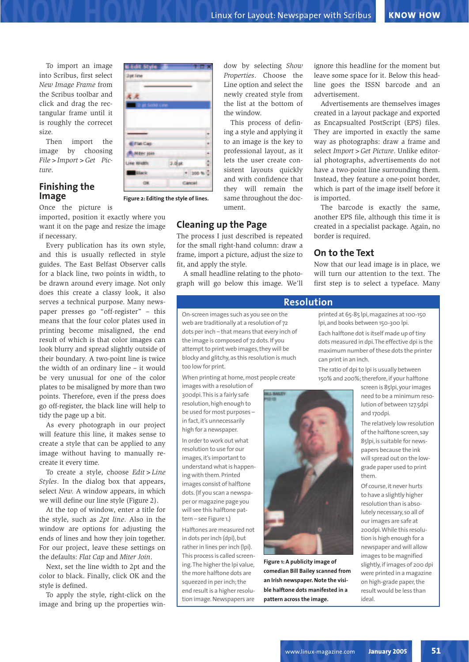To import an image into Scribus, first select *New Image Frame* from the Scribus toolbar and click and drag the rectangular frame until it is roughly the correcet size.

Then import the image by choosing *File>Import>Get Picture*.

## **Finishing the Image**

Once the picture is

imported, position it exactly where you want it on the page and resize the image if necessary.

Every publication has its own style, and this is usually reflected in style guides. The East Belfast Observer calls for a black line, two points in width, to be drawn around every image. Not only does this create a classy look, it also serves a technical purpose. Many newspaper presses go "off-register" – this means that the four color plates used in printing become misaligned, the end result of which is that color images can look blurry and spread slightly outside of their boundary. A two-point line is twice the width of an ordinary line – it would be very unusual for one of the color plates to be misaligned by more than two points. Therefore, even if the press does go off-register, the black line will help to tidy the page up a bit.

As every photograph in our project will feature this line, it makes sense to create a style that can be applied to any image without having to manually recreate it every time.

To create a style, choose *Edit>Line Styles*. In the dialog box that appears, select *New.* A window appears, in which we will define our line style (Figure 2).

At the top of window, enter a title for the style, such as *2pt line*. Also in the window are options for adjusting the ends of lines and how they join together. For our project, leave these settings on the defaults: *Flat Cap* and *Miter Join*.

Next, set the line width to 2pt and the color to black. Finally, click OK and the style is defined.

To apply the style, right-click on the image and bring up the properties win-

the list at the bottom of the window. This process of defining a style and applying it

to an image is the key to professional layout, as it lets the user create consistent layouts quickly and with confidence that they will remain the same throughout the document.

dow by selecting *Show Properties*. Choose the Line option and select the newly created style from

# **Cleaning up the Page**

The process I just described is repeated for the small right-hand column: draw a frame, import a picture, adjust the size to fit, and apply the style.

A small headline relating to the photograph will go below this image. We'll

On-screen images such as you see on the web are traditionally at a resolution of 72 dots per inch – that means that every inch of the image is composed of 72 dots. If you attempt to print web images, they will be blocky and glitchy, as this resolution is much too low for print.

When printing at home, most people create

images with a resolution of 300dpi.This is a fairly safe resolution, high enough to be used for most purposes – in fact, it's unnecessarily high for a newspaper.

In order to work out what resolution to use for our images, it's important to understand what is happening with them. Printed images consist of halftone dots. (If you scan a newspaper or magazine page you will see this halftone pattern – see Figure 1.)

Halftones are measured not in dots per inch (dpi), but rather in lines per inch (lpi). This process is called screening.The higher the lpi value, the more halftone dots are squeezed in per inch; the end result is a higher resolution image. Newspapers are

ignore this headline for the moment but leave some space for it. Below this headline goes the ISSN barcode and an advertisement.

Advertisements are themselves images created in a layout package and exported as Encapsualted PostScript (EPS) files. They are imported in exactly the same way as photographs: draw a frame and select *Import>Get Picture*. Unlike editorial photographs, advertisements do not have a two-point line surrounding them. Instead, they feature a one-point border, which is part of the image itself before it is imported.

The barcode is exactly the same, another EPS file, although this time it is created in a specialist package. Again, no border is required.

# **On to the Text**

Now that our lead image is in place, we will turn our attention to the text. The first step is to select a typeface. Many

#### **Resolution**

printed at 65-85 lpi, magazines at 100-150 lpi, and books between 150-300 lpi.

Each halftone dot is itself made up of tiny dots measured in dpi.The effective dpi is the maximum number of these dots the printer can print in an inch.

The ratio of dpi to lpi is usually between 150% and 200%; therefore, if your halftone

> screen is 85lpi, your images need to be a minimum resolution of between 127.5dpi and 170dpi.

The relatively low resolution of the halftone screen, say 85lpi, is suitable for newspapers because the ink will spread out on the lowgrade paper used to print them.

Of course, it never hurts to have a slightly higher resolution than is absolutely necessary, so all of our images are safe at 200dpi.While this resolution is high enough for a newspaper and will allow images to be magnified slightly, if images of 200 dpi were printed in a magazine on high-grade paper, the result would be less than ideal.



**Figure 1:A publicity image of comedian Bill Bailey scanned from an Irish newspaper. Note the visible halftone dots manifested in a pattern across the image.**



**Figure 2: Editing the style of lines.**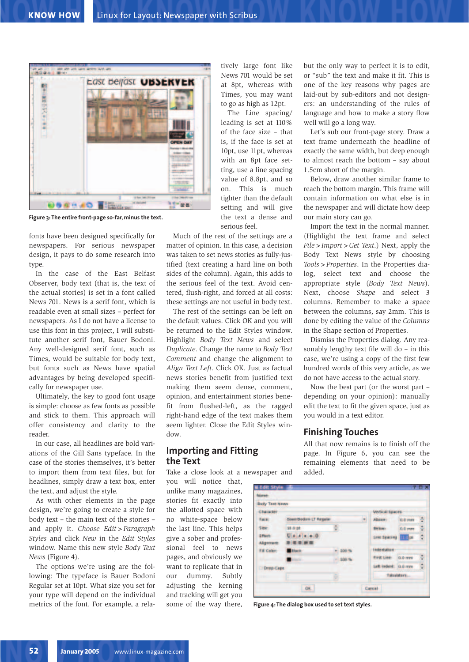

**Figure 3: The entire front-page so-far, minus the text.**

fonts have been designed specifically for newspapers. For serious newspaper design, it pays to do some research into type.

In the case of the East Belfast Observer, body text (that is, the text of the actual stories) is set in a font called News 701. News is a serif font, which is readable even at small sizes – perfect for newspapers. As I do not have a license to use this font in this project, I will substitute another serif font, Bauer Bodoni. Any well-designed serif font, such as Times, would be suitable for body text, but fonts such as News have spatial advantages by being developed specifically for newspaper use.

Ultimately, the key to good font usage is simple: choose as few fonts as possible and stick to them. This approach will offer consistency and clarity to the reader.

In our case, all headlines are bold variations of the Gill Sans typeface. In the case of the stories themselves, it's better to import them from text files, but for headlines, simply draw a text box, enter the text, and adjust the style.

As with other elements in the page design, we're going to create a style for body text – the main text of the stories – and apply it. *Choose Edit>Paragraph Styles* and click *New* in the *Edit Styles* window. Name this new style *Body Text News* (Figure 4).

The options we're using are the following: The typeface is Bauer Bodoni Regular set at 10pt. What size you set for your type will depend on the individual metrics of the font. For example, a rela-

tively large font like News 701 would be set at 8pt, whereas with Times, you may want to go as high as 12pt.

The Line spacing/ leading is set at 110% of the face size – that is, if the face is set at 10pt, use 11pt, whereas with an 8pt face setting, use a line spacing value of 8.8pt, and so on. This is much tighter than the default setting and will give the text a dense and serious feel.

Much of the rest of the settings are a matter of opinion. In this case, a decision was taken to set news stories as fully-justified (text creating a hard line on both sides of the column). Again, this adds to the serious feel of the text. Avoid centered, flush-right, and forced at all costs: these settings are not useful in body text.

The rest of the settings can be left on the default values. Click OK and you will be returned to the Edit Styles window. Highlight *Body Text News* and select *Duplicate*. Change the name to *Body Text Comment* and change the alignment to *Align Text Left*. Click OK. Just as factual news stories benefit from justified text making them seem dense, comment, opinion, and entertainment stories benefit from flushed-left, as the ragged right-hand edge of the text makes them seem lighter. Close the Edit Styles window.

# **Importing and Fitting the Text**

Take a close look at a newspaper and

you will notice that, unlike many magazines, stories fit exactly into the allotted space with no white-space below the last line. This helps give a sober and professional feel to news pages, and obviously we want to replicate that in our dummy. Subtly adjusting the kerning and tracking will get you some of the way there, but the only way to perfect it is to edit, or "sub" the text and make it fit. This is one of the key reasons why pages are laid-out by sub-editors and not designers: an understanding of the rules of language and how to make a story flow well will go a long way.

Let's sub our front-page story. Draw a text frame underneath the headline of exactly the same width, but deep enough to almost reach the bottom – say about 1.5cm short of the margin.

Below, draw another similar frame to reach the bottom margin. This frame will contain information on what else is in the newspaper and will dictate how deep our main story can go.

Import the text in the normal manner. (Highlight the text frame and select *File>Import>Get Text*.) Next, apply the Body Text News style by choosing *Tools>Properties*. In the Properties dialog, select text and choose the appropriate style (*Body Text News*). Next, choose *Shape* and select 3 columns. Remember to make a space between the columns, say 2mm. This is done by editing the value of the *Columns* in the Shape section of Properties.

Dismiss the Properties dialog. Any reasonably lengthy text file will do – in this case, we're using a copy of the first few hundred words of this very article, as we do not have access to the actual story.

Now the best part (or the worst part – depending on your opinion): manually edit the text to fit the given space, just as you would in a text editor.

#### **Finishing Touches**

All that now remains is to finish off the page. In Figure 6, you can see the remaining elements that need to be added.

| Body Test News              |                                  |    |                                    |                             |                 |   |
|-----------------------------|----------------------------------|----|------------------------------------|-----------------------------|-----------------|---|
| <b>Character</b>            |                                  |    |                                    | <b>Weythcall figures</b>    |                 |   |
| Facet                       | Soprification LT Regular         |    | $\langle \hat{\mathbf{r}} \rangle$ | Abdoo -                     | <b>OCE Here</b> | 복 |
| Sider.                      | 38.0 pt                          | F. |                                    | Below-                      | D.G reas        | ÷ |
| Effect:<br><b>Alignment</b> | $U[x x x +0]$<br><b>BINIDING</b> |    |                                    | Live Spacing <b>ITEL</b> pe |                 | ÷ |
| Fill Color:                 | <b>Black</b>                     |    | $= 100$ %                          | <b>I Indie el atito e</b>   |                 |   |
|                             | <b>STEP</b>                      |    | $-100.$                            | FIFST LINE:                 | 0.0 mm          | ÷ |
| Drap Cape                   |                                  |    |                                    | Left indent: 0.0 mm         |                 | ÷ |
|                             |                                  | ÷  |                                    |                             | fabraisters     |   |

**Figure 4: The dialog box used to set text styles.**